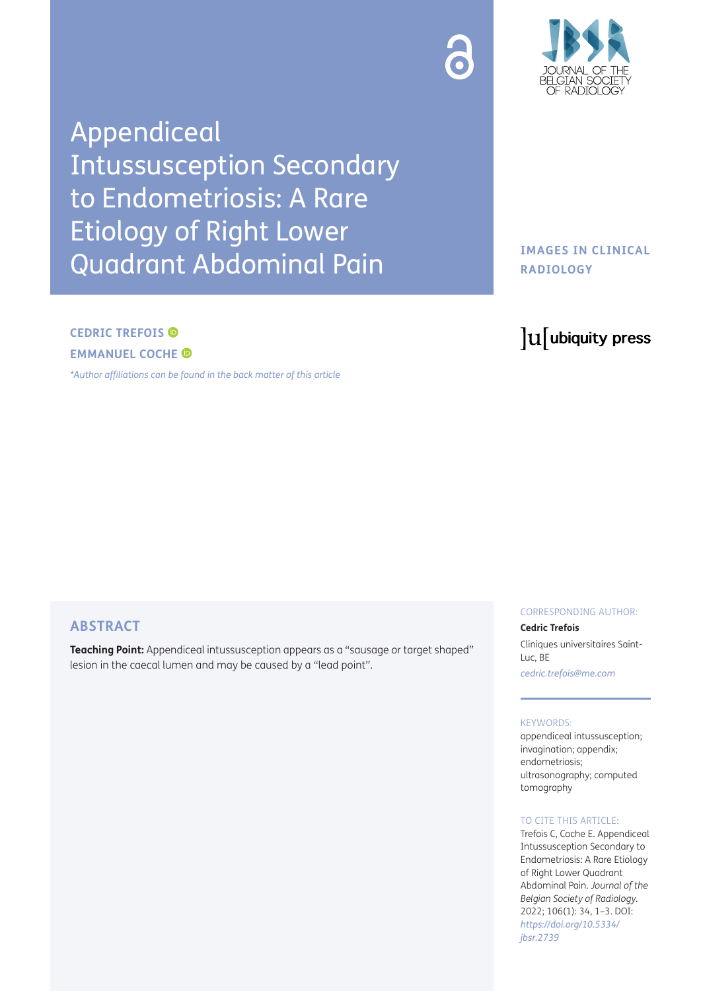Appendiceal Intussusception Secondary to Endometriosis: A Rare Etiology of Right Lower Quadrant Abdominal Pain

# **CEDRIC TREFOIS EMMANUEL COCHE**

*[\\*Author affiliations can be found in the back matter of this article](#page-2-0)*

# **ABSTRACT**

**Teaching Point:** Appendiceal intussusception appears as a "sausage or target shaped" lesion in the caecal lumen and may be caused by a "lead point".

# CORRESPONDING AUTHOR:

#### **Cedric Trefois**

Cliniques universitaires Saint-Luc, BE *[cedric.trefois@me.com](mailto:cedric.trefois@me.com)*

#### KEYWORDS:

appendiceal intussusception; invagination; appendix; endometriosis; ultrasonography; computed tomography

#### TO CITE THIS ARTICLE:

Trefois C, Coche E. Appendiceal Intussusception Secondary to Endometriosis: A Rare Etiology of Right Lower Quadrant Abdominal Pain. *Journal of the Belgian Society of Radiology.* 2022; 106(1): 34, 1–3. DOI: *[https://doi.org/10.5334/](https://doi.org/10.5334/jbsr.2739) [jbsr.2739](https://doi.org/10.5334/jbsr.2739)*

# **IMAGES IN CLINICAL RADIOLOGY**

# lu ubiquity press

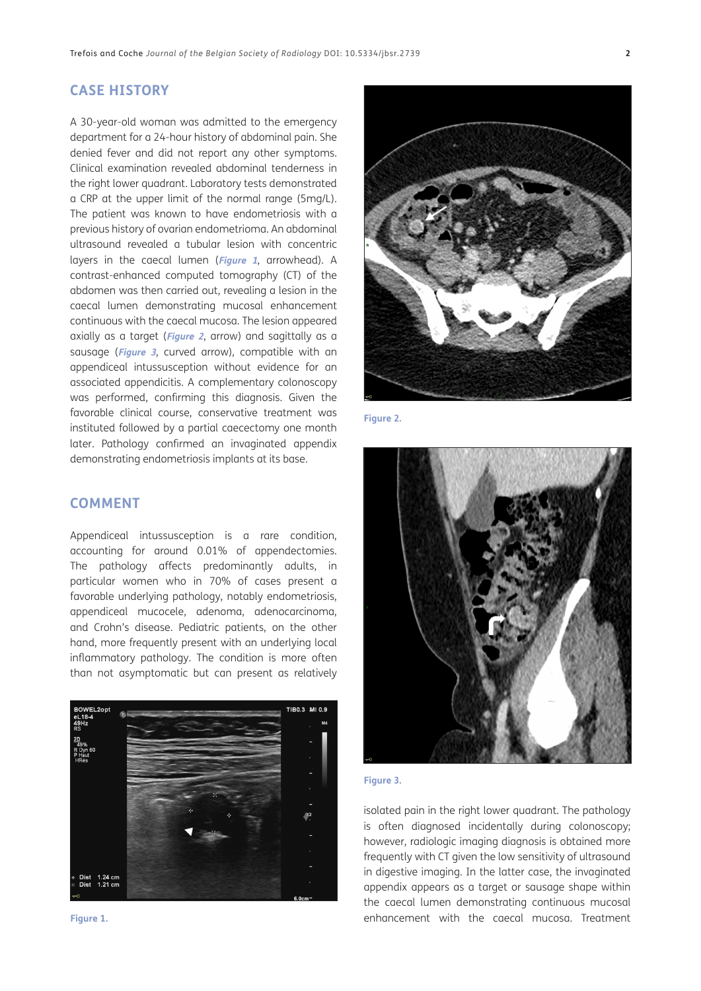### **CASE HISTORY**

A 30-year-old woman was admitted to the emergency department for a 24-hour history of abdominal pain. She denied fever and did not report any other symptoms. Clinical examination revealed abdominal tenderness in the right lower quadrant. Laboratory tests demonstrated a CRP at the upper limit of the normal range (5mg/L). The patient was known to have endometriosis with a previous history of ovarian endometrioma. An abdominal ultrasound revealed a tubular lesion with concentric layers in the caecal lumen (**[Figure 1](#page-1-0)**, arrowhead). A contrast-enhanced computed tomography (CT) of the abdomen was then carried out, revealing a lesion in the caecal lumen demonstrating mucosal enhancement continuous with the caecal mucosa. The lesion appeared axially as a target (**[Figure 2](#page-1-1)**, arrow) and sagittally as a sausage (**[Figure 3](#page-1-2)**, curved arrow), compatible with an appendiceal intussusception without evidence for an associated appendicitis. A complementary colonoscopy was performed, confirming this diagnosis. Given the favorable clinical course, conservative treatment was instituted followed by a partial caecectomy one month later. Pathology confirmed an invaginated appendix demonstrating endometriosis implants at its base.

# **COMMENT**

Appendiceal intussusception is a rare condition, accounting for around 0.01% of appendectomies. The pathology affects predominantly adults, in particular women who in 70% of cases present a favorable underlying pathology, notably endometriosis, appendiceal mucocele, adenoma, adenocarcinoma, and Crohn's disease. Pediatric patients, on the other hand, more frequently present with an underlying local inflammatory pathology. The condition is more often than not asymptomatic but can present as relatively



<span id="page-1-0"></span>



**Figure 2.**

<span id="page-1-1"></span>

#### <span id="page-1-2"></span>**Figure 3.**

isolated pain in the right lower quadrant. The pathology is often diagnosed incidentally during colonoscopy; however, radiologic imaging diagnosis is obtained more frequently with CT given the low sensitivity of ultrasound in digestive imaging. In the latter case, the invaginated appendix appears as a target or sausage shape within the caecal lumen demonstrating continuous mucosal **Figure 1.** enhancement with the caecal mucosa. Treatment